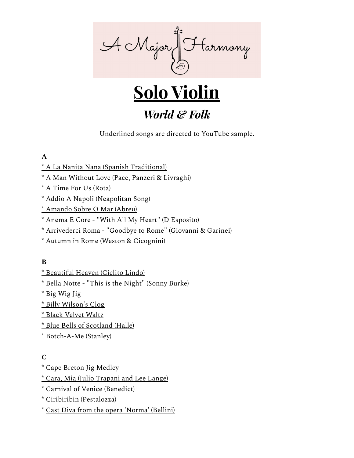



# *World & Folk*

Underlined songs are directed to YouTube sample.

# **A**

- \* A La Nanita Nana (Spanish [Traditional\)](https://youtu.be/HzvvG_uQ_bY)
- \* A Man Without Love (Pace, Panzeri & Livraghi)
- \* A Time For Us (Rota)
- \* Addio A Napoli (Neapolitan Song)
- \* [Amando](https://youtu.be/QyEkgTgI8rA) Sobre O Mar (Abreu)
- \* Anema E Core "With All My Heart" (D'Esposito)
- \* Arrivederci Roma "Goodbye to Rome" (Giovanni & Garinei)
- \* Autumn in Rome (Weston & Cicognini)

# **B**

- \* [Beautiful](http://youtu.be/2dR68AbBUEQ) Heaven (Cielito Lindo)
- \* Bella Notte "This is the Night" (Sonny Burke)
- \* Big Wig Jig
- \* Billy [Wilson's](https://youtu.be/Wg9pg7keFtg) Clog
- \* Black [Velvet](https://youtu.be/KYBJB027dPo) Waltz
- \* Blue Bells of [Scotland](http://youtu.be/fQqpeliD0Cs) (Halle)
- \* Botch-A-Me (Stanley)

#### **C**

- \* Cape Breton Jig [Medley](https://youtu.be/Rg4L5tcxFcA?t=1m30s)
- \* Cara, Mia (Julio [Trapani](https://youtu.be/Rg4L5tcxFcA?t=1m30s) and Lee Lange)
- \* Carnival of Venice (Benedict)
- \* Ciribiribin (Pestalozza)
- \* Cast Diva from the opera ['Norma'](https://youtu.be/Rg4L5tcxFcA?t=1m30s) (Bellini)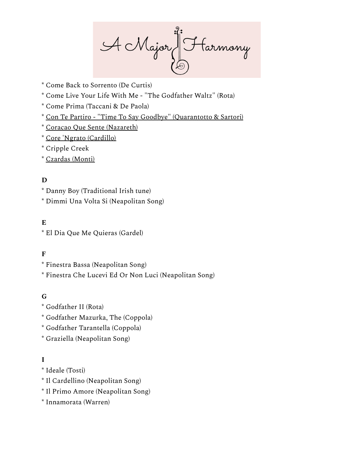A Major Harmony

- \* Come Back to Sorrento (De Curtis)
- \* Come Live Your Life With Me "The Godfather Waltz" (Rota)
- \* Come Prima (Taccani & De Paola)
- \* Con Te Partiro "Time To Say [Goodbye" \(Quarantotto](https://youtu.be/rhoWqFEFGug?t=10s) & Sartori)
- \* Coracao Que Sente [\(Nazareth\)](https://youtu.be/Pn5vYhfQYHs)
- \* Core 'Ngrato [\(Cardillo\)](https://youtu.be/T5jZbGz1xuY)
- \* [Cripple](https://youtu.be/1SJfBcqJvWM) Creek
- \* [Czardas](https://youtu.be/IPYHy8k9Z34?t=49s) (Monti)

#### **D**

- \* Danny Boy (Traditional Irish tune)
- \* Dimmi Una Volta Si (Neapolitan Song)

#### **E**

\* El Dia Que Me Quieras (Gardel)

# **F**

- \* Finestra Bassa (Neapolitan Song)
- \* Finestra Che Lucevi Ed Or Non Luci (Neapolitan Song)

#### **G**

- \* Godfather II (Rota)
- \* Godfather Mazurka, The (Coppola)
- \* Godfather Tarantella (Coppola)
- \* Graziella (Neapolitan Song)

# **I**

- \* Ideale (Tosti)
- \* Il Cardellino (Neapolitan Song)
- \* Il Primo Amore (Neapolitan Song)
- \* Innamorata (Warren)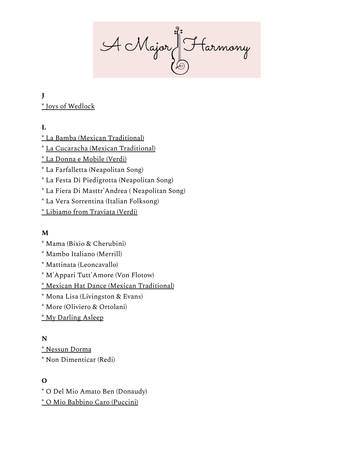A Major J Farmony

**J** \* Joys of [Wedlock](https://youtu.be/-5CDUnGu3jA)

**L**

\* La Bamba (Mexican [Traditional\)](https://youtu.be/-5CDUnGu3jA) \* La Cucaracha (Mexican [Traditional\)](https://youtu.be/JPYYpVgp4CU) \* La Donna e [Mobile](https://youtu.be/O-Bb4730ZH0) (Verdi) \* La Farfalletta (Neapolitan Song) \* La Festa Di Piedigrotta (Neapolitan Song) \* La Fiera Di Masttr'Andrea ( Neapolitan Song)

\* La Vera Sorrentina (Italian Folksong)

\* [Libiamo](https://youtu.be/Pum2LxEHP18) from Traviata (Verdi)

# **M**

\* Mama (Bixio & Cherubini)

\* Mambo Italiano (Merrill)

\* Mattinata (Leoncavallo)

\* M'Appari Tutt'Amore (Von Flotow)

\* Mexican Hat Dance (Mexican [Traditional\)](https://youtu.be/Ciyei5uDbbo)

\* Mona Lisa (Livingston & Evans)

\* More (Oliviero & Ortolani)

[\\*](http://youtu.be/NrvcOK3jK8g) My [Darling](https://youtu.be/NrvcOK3jK8g) Asleep

#### **N**

\* [Nessun](http://youtu.be/2SZsxTBCzoA) Dorma

\* Non Dimenticar (Redi)

# **O**

\* O Del Mio Amato Ben (Donaudy)

\* O Mio Babbino Caro [\(Puccini\)](http://youtu.be/DsPXig69g2A)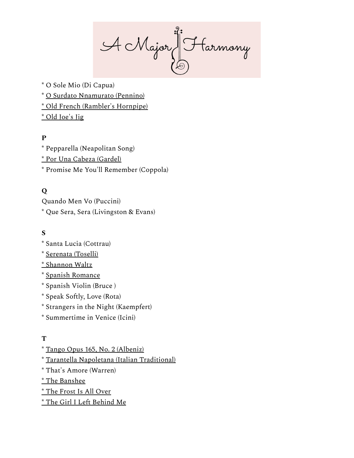AcMajor Harmony

\* O Sole Mio (Di Capua)

- \* O Surdato [Nnamurato](https://youtu.be/WGJ7YBSduDw?t=8s) (Pennino)
- \* Old French [\(Rambler's](http://youtu.be/5dPOL9hOPGM) Hornpipe)

\* Old [Joe's](http://youtu.be/LGQ_drvzFWk) Jig

# **P**

\* Pepparella (Neapolitan Song) \* Por Una Cabeza [\(Gardel\)](https://youtu.be/zOjOLXkvSQA?t=32s) \* Promise Me You'll Remember (Coppola)

# **Q**

Quando Men Vo (Puccini) \* Que Sera, Sera (Livingston & Evans)

# **S**

- \* Santa Lucia (Cottrau)
- \* [Serenata](https://youtu.be/hVb8NnjiXlU) (Toselli)
- \* [Shannon](http://youtu.be/F8l2z7JVB34) Waltz
- \* Spanish [Romance](https://youtu.be/6OdKc7mzl40)
- \* Spanish Violin (Bruce )
- \* Speak Softly, Love (Rota)
- \* Strangers in the Night (Kaempfert)
- \* Summertime in Venice (Icini)

#### **T**

- \* Tango Opus 165, No. 2 [\(Albeniz\)](https://youtu.be/ZAXe1GsYdwQ)
- \* Tarantella Napoletana (Italian [Traditional\)](https://youtu.be/T6yHEjskC2s)
- \* That's Amore (Warren)
- \* The [Banshee](http://youtu.be/NHdJCiNEvmQ)
- \* The [Frost](http://youtu.be/EHvvXEjdiSk) Is All Over
- \* The Girl I Left [Behind](http://youtu.be/9uCSVeqB9PQ) Me